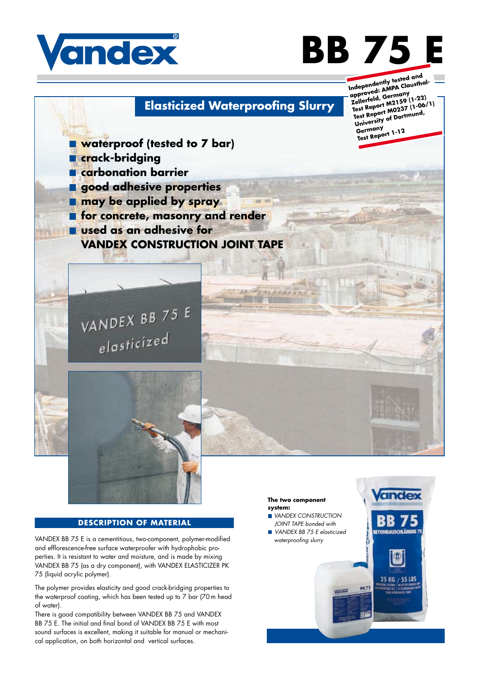

# **BB 75 E**

# **Elasticized Waterproofing Slurry**

**Independently tested and approved: AMPA Clausthal-Zellerfeld, Germany Test Report M2159 (1-22) Test Report M0237 (1-06/1) University of Dortmund, Germany Test Report 1-12**

**Vandex** 

**STONRALISCHLÄMME 75** 

何

25 KG / 55 LBS

**waterproof (tested to 7 bar) crack-bridging carbonation barrier good adhesive properties nay be applied by spray For concrete, masonry and render used as an adhesive for VANDEX CONSTRUCTION JOINT TAPE**





### **DESCRIPTION OF MATERIAL**

VANDEX BB 75 E is a cementitious, two-component, polymer-modified and efflorescence-free surface waterproofer with hydrophobic properties. It is resistant to water and moisture, and is made by mixing VANDEX BB 75 (as a dry component), with VANDEX ELASTICIZER PK 75 (liquid acrylic polymer).

The polymer provides elasticity and good crack-bridging properties to the waterproof coating, which has been tested up to 7 bar (70m head of water).

There is good compatibility between VANDEX BB 75 and VANDEX BB 75 E. The initial and final bond of VANDEX BB 75 E with most sound surfaces is excellent, making it suitable for manual or mechanical application, on both horizontal and vertical surfaces.

#### **The two component system:**

TOLKERKK

- *VANDEX CONSTRUCTION JOINT TAPE bonded with VANDEX BB 75 E elasticized*
- *waterproofing slurry*